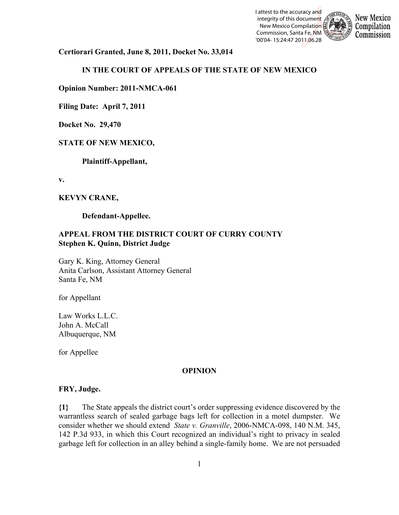



**Certiorari Granted, June 8, 2011, Docket No. 33,014**

# **IN THE COURT OF APPEALS OF THE STATE OF NEW MEXICO**

**Opinion Number: 2011-NMCA-061**

**Filing Date: April 7, 2011** 

**Docket No. 29,470**

## **STATE OF NEW MEXICO,**

**Plaintiff-Appellant,**

**v.**

## **KEVYN CRANE,**

**Defendant-Appellee.**

# **APPEAL FROM THE DISTRICT COURT OF CURRY COUNTY Stephen K. Quinn, District Judge**

Gary K. King, Attorney General Anita Carlson, Assistant Attorney General Santa Fe, NM

for Appellant

Law Works L.L.C. John A. McCall Albuquerque, NM

for Appellee

## **OPINION**

#### **FRY, Judge.**

**{1}** The State appeals the district court's order suppressing evidence discovered by the warrantless search of sealed garbage bags left for collection in a motel dumpster. We consider whether we should extend *State v. Granville*, 2006-NMCA-098, 140 N.M. 345, 142 P.3d 933, in which this Court recognized an individual's right to privacy in sealed garbage left for collection in an alley behind a single-family home. We are not persuaded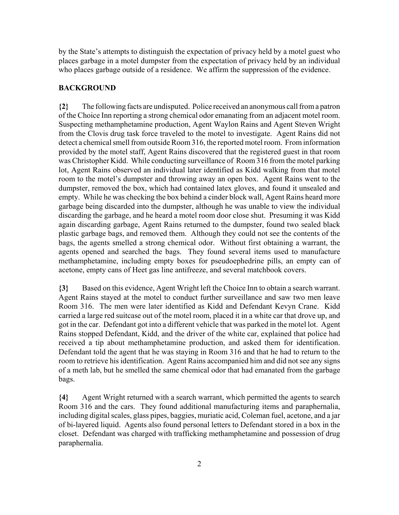by the State's attempts to distinguish the expectation of privacy held by a motel guest who places garbage in a motel dumpster from the expectation of privacy held by an individual who places garbage outside of a residence. We affirm the suppression of the evidence.

## **BACKGROUND**

**{2}** The following facts are undisputed. Police received an anonymous call from a patron of the Choice Inn reporting a strong chemical odor emanating from an adjacent motel room. Suspecting methamphetamine production, Agent Waylon Rains and Agent Steven Wright from the Clovis drug task force traveled to the motel to investigate. Agent Rains did not detect a chemical smell from outside Room 316, the reported motel room. From information provided by the motel staff, Agent Rains discovered that the registered guest in that room was Christopher Kidd. While conducting surveillance of Room 316 from the motel parking lot, Agent Rains observed an individual later identified as Kidd walking from that motel room to the motel's dumpster and throwing away an open box. Agent Rains went to the dumpster, removed the box, which had contained latex gloves, and found it unsealed and empty. While he was checking the box behind a cinder block wall, Agent Rains heard more garbage being discarded into the dumpster, although he was unable to view the individual discarding the garbage, and he heard a motel room door close shut. Presuming it was Kidd again discarding garbage, Agent Rains returned to the dumpster, found two sealed black plastic garbage bags, and removed them. Although they could not see the contents of the bags, the agents smelled a strong chemical odor. Without first obtaining a warrant, the agents opened and searched the bags. They found several items used to manufacture methamphetamine, including empty boxes for pseudoephedrine pills, an empty can of acetone, empty cans of Heet gas line antifreeze, and several matchbook covers.

**{3}** Based on this evidence, Agent Wright left the Choice Inn to obtain a search warrant. Agent Rains stayed at the motel to conduct further surveillance and saw two men leave Room 316. The men were later identified as Kidd and Defendant Kevyn Crane. Kidd carried a large red suitcase out of the motel room, placed it in a white car that drove up, and got in the car. Defendant got into a different vehicle that was parked in the motel lot. Agent Rains stopped Defendant, Kidd, and the driver of the white car, explained that police had received a tip about methamphetamine production, and asked them for identification. Defendant told the agent that he was staying in Room 316 and that he had to return to the room to retrieve his identification. Agent Rains accompanied him and did not see any signs of a meth lab, but he smelled the same chemical odor that had emanated from the garbage bags.

**{4}** Agent Wright returned with a search warrant, which permitted the agents to search Room 316 and the cars. They found additional manufacturing items and paraphernalia, including digital scales, glass pipes, baggies, muriatic acid, Coleman fuel, acetone, and a jar of bi-layered liquid. Agents also found personal letters to Defendant stored in a box in the closet. Defendant was charged with trafficking methamphetamine and possession of drug paraphernalia.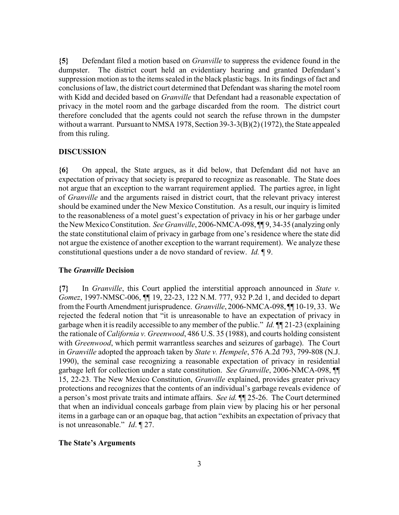**{5}** Defendant filed a motion based on *Granville* to suppress the evidence found in the dumpster. The district court held an evidentiary hearing and granted Defendant's suppression motion as to the items sealed in the black plastic bags. In its findings of fact and conclusions of law, the district court determined that Defendant was sharing the motel room with Kidd and decided based on *Granville* that Defendant had a reasonable expectation of privacy in the motel room and the garbage discarded from the room. The district court therefore concluded that the agents could not search the refuse thrown in the dumpster without a warrant. Pursuant to NMSA 1978, Section 39-3-3(B)(2) (1972), the State appealed from this ruling.

## **DISCUSSION**

**{6}** On appeal, the State argues, as it did below, that Defendant did not have an expectation of privacy that society is prepared to recognize as reasonable. The State does not argue that an exception to the warrant requirement applied. The parties agree, in light of *Granville* and the arguments raised in district court, that the relevant privacy interest should be examined under the New Mexico Constitution. As a result, our inquiry is limited to the reasonableness of a motel guest's expectation of privacy in his or her garbage under the New Mexico Constitution. *See Granville*, 2006-NMCA-098, ¶¶ 9, 34-35 (analyzing only the state constitutional claim of privacy in garbage from one's residence where the state did not argue the existence of another exception to the warrant requirement). We analyze these constitutional questions under a de novo standard of review. *Id.* ¶ 9.

#### **The** *Granville* **Decision**

**{7}** In *Granville*, this Court applied the interstitial approach announced in *State v. Gomez*, 1997-NMSC-006, ¶¶ 19, 22-23, 122 N.M. 777, 932 P.2d 1, and decided to depart from the Fourth Amendment jurisprudence. *Granville*, 2006-NMCA-098, ¶¶ 10-19, 33. We rejected the federal notion that "it is unreasonable to have an expectation of privacy in garbage when it is readily accessible to any member of the public." *Id.* ¶¶ 21-23 (explaining the rationale of *California v. Greenwood*, 486 U.S. 35 (1988), and courts holding consistent with *Greenwood*, which permit warrantless searches and seizures of garbage). The Court in *Granville* adopted the approach taken by *State v. Hempele*, 576 A.2d 793, 799-808 (N.J. 1990), the seminal case recognizing a reasonable expectation of privacy in residential garbage left for collection under a state constitution. *See Granville*, 2006-NMCA-098, ¶¶ 15, 22-23. The New Mexico Constitution, *Granville* explained, provides greater privacy protections and recognizes that the contents of an individual's garbage reveals evidence of a person's most private traits and intimate affairs. *See id.* ¶¶ 25-26. The Court determined that when an individual conceals garbage from plain view by placing his or her personal items in a garbage can or an opaque bag, that action "exhibits an expectation of privacy that is not unreasonable." *Id*. ¶ 27.

## **The State's Arguments**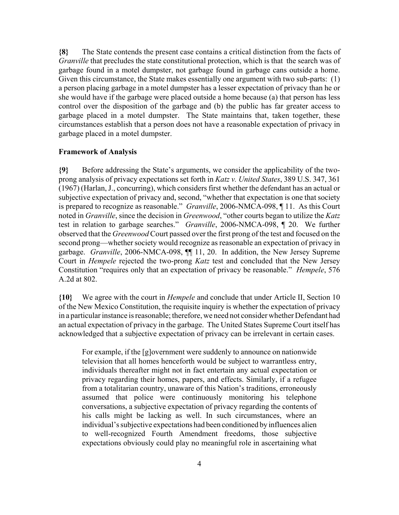**{8}** The State contends the present case contains a critical distinction from the facts of *Granville* that precludes the state constitutional protection, which is that the search was of garbage found in a motel dumpster, not garbage found in garbage cans outside a home. Given this circumstance, the State makes essentially one argument with two sub-parts: (1) a person placing garbage in a motel dumpster has a lesser expectation of privacy than he or she would have if the garbage were placed outside a home because (a) that person has less control over the disposition of the garbage and (b) the public has far greater access to garbage placed in a motel dumpster. The State maintains that, taken together, these circumstances establish that a person does not have a reasonable expectation of privacy in garbage placed in a motel dumpster.

#### **Framework of Analysis**

**{9}** Before addressing the State's arguments, we consider the applicability of the twoprong analysis of privacy expectations set forth in *Katz v. United States*, 389 U.S. 347, 361 (1967) (Harlan, J., concurring), which considers first whether the defendant has an actual or subjective expectation of privacy and, second, "whether that expectation is one that society is prepared to recognize as reasonable." *Granville*, 2006-NMCA-098, ¶ 11. As this Court noted in *Granville*, since the decision in *Greenwood*, "other courts began to utilize the *Katz* test in relation to garbage searches." *Granville*, 2006-NMCA-098, ¶ 20. We further observed that the *Greenwood* Court passed over the first prong of the test and focused on the second prong—whether society would recognize as reasonable an expectation of privacy in garbage. *Granville*, 2006-NMCA-098, ¶¶ 11, 20. In addition, the New Jersey Supreme Court in *Hempele* rejected the two-prong *Katz* test and concluded that the New Jersey Constitution "requires only that an expectation of privacy be reasonable." *Hempele*, 576 A.2d at 802.

**{10}** We agree with the court in *Hempele* and conclude that under Article II, Section 10 of the New Mexico Constitution, the requisite inquiry is whether the expectation of privacy in a particular instance is reasonable; therefore, we need not consider whether Defendant had an actual expectation of privacy in the garbage. The United States Supreme Court itself has acknowledged that a subjective expectation of privacy can be irrelevant in certain cases.

For example, if the [g]overnment were suddenly to announce on nationwide television that all homes henceforth would be subject to warrantless entry, individuals thereafter might not in fact entertain any actual expectation or privacy regarding their homes, papers, and effects. Similarly, if a refugee from a totalitarian country, unaware of this Nation's traditions, erroneously assumed that police were continuously monitoring his telephone conversations, a subjective expectation of privacy regarding the contents of his calls might be lacking as well. In such circumstances, where an individual's subjective expectations had been conditioned by influences alien to well-recognized Fourth Amendment freedoms, those subjective expectations obviously could play no meaningful role in ascertaining what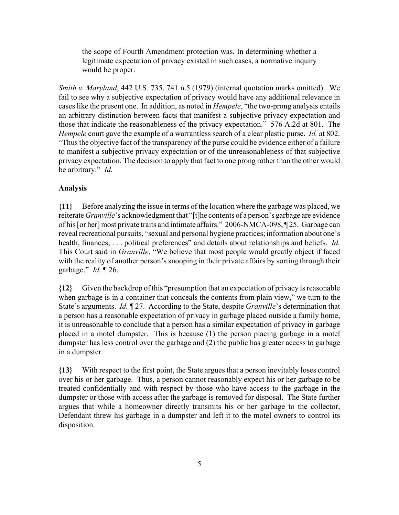the scope of Fourth Amendment protection was. In determining whether a legitimate expectation of privacy existed in such cases, a normative inquiry would be proper.

*Smith v. Maryland*, 442 U.S. 735, 741 n.5 (1979) (internal quotation marks omitted). We fail to see why a subjective expectation of privacy would have any additional relevance in cases like the present one. In addition, as noted in *Hempele*, "the two-prong analysis entails an arbitrary distinction between facts that manifest a subjective privacy expectation and those that indicate the reasonableness of the privacy expectation." 576 A.2d at 801. The *Hempele* court gave the example of a warrantless search of a clear plastic purse. *Id.* at 802. "Thus the objective fact of the transparency of the purse could be evidence either of a failure to manifest a subjective privacy expectation or of the unreasonableness of that subjective privacy expectation. The decision to apply that fact to one prong rather than the other would be arbitrary." *Id.*

# **Analysis**

**{11}** Before analyzing the issue in terms of the location where the garbage was placed, we reiterate *Granville*'s acknowledgment that "[t]he contents of a person's garbage are evidence of his [or her] most private traits and intimate affairs." 2006-NMCA-098, ¶ 25. Garbage can reveal recreational pursuits, "sexual and personal hygiene practices; information about one's health, finances, . . . political preferences" and details about relationships and beliefs. *Id.* This Court said in *Granville*, "We believe that most people would greatly object if faced with the reality of another person's snooping in their private affairs by sorting through their garbage." *Id.* ¶ 26.

**{12}** Given the backdrop of this "presumption that an expectation of privacy is reasonable when garbage is in a container that conceals the contents from plain view," we turn to the State's arguments. *Id.* ¶ 27. According to the State, despite *Granville*'s determination that a person has a reasonable expectation of privacy in garbage placed outside a family home, it is unreasonable to conclude that a person has a similar expectation of privacy in garbage placed in a motel dumpster. This is because (1) the person placing garbage in a motel dumpster has less control over the garbage and (2) the public has greater access to garbage in a dumpster.

**{13}** With respect to the first point, the State argues that a person inevitably loses control over his or her garbage. Thus, a person cannot reasonably expect his or her garbage to be treated confidentially and with respect by those who have access to the garbage in the dumpster or those with access after the garbage is removed for disposal. The State further argues that while a homeowner directly transmits his or her garbage to the collector, Defendant threw his garbage in a dumpster and left it to the motel owners to control its disposition.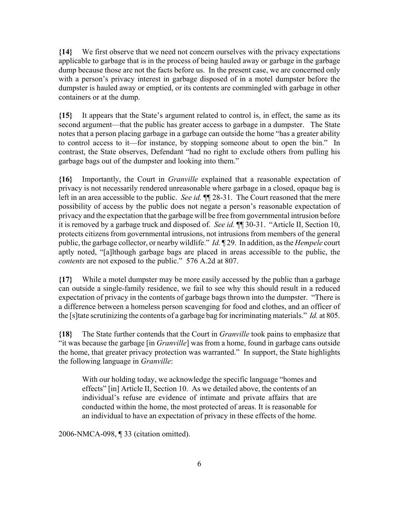**{14}** We first observe that we need not concern ourselves with the privacy expectations applicable to garbage that is in the process of being hauled away or garbage in the garbage dump because those are not the facts before us. In the present case, we are concerned only with a person's privacy interest in garbage disposed of in a motel dumpster before the dumpster is hauled away or emptied, or its contents are commingled with garbage in other containers or at the dump.

**{15}** It appears that the State's argument related to control is, in effect, the same as its second argument—that the public has greater access to garbage in a dumpster. The State notes that a person placing garbage in a garbage can outside the home "has a greater ability to control access to it—for instance, by stopping someone about to open the bin." In contrast, the State observes, Defendant "had no right to exclude others from pulling his garbage bags out of the dumpster and looking into them."

**{16}** Importantly, the Court in *Granville* explained that a reasonable expectation of privacy is not necessarily rendered unreasonable where garbage in a closed, opaque bag is left in an area accessible to the public. *See id.* ¶¶ 28-31. The Court reasoned that the mere possibility of access by the public does not negate a person's reasonable expectation of privacy and the expectation that the garbage will be free from governmental intrusion before it is removed by a garbage truck and disposed of. *See id.* ¶¶ 30-31. "Article II, Section 10, protects citizens from governmental intrusions, not intrusions from members of the general public, the garbage collector, or nearby wildlife." *Id.* ¶ 29. In addition, as the *Hempele* court aptly noted, "[a]lthough garbage bags are placed in areas accessible to the public, the *contents* are not exposed to the public." 576 A.2d at 807.

**{17}** While a motel dumpster may be more easily accessed by the public than a garbage can outside a single-family residence, we fail to see why this should result in a reduced expectation of privacy in the contents of garbage bags thrown into the dumpster. "There is a difference between a homeless person scavenging for food and clothes, and an officer of the [s]tate scrutinizing the contents of a garbage bag for incriminating materials." *Id.* at 805.

**{18}** The State further contends that the Court in *Granville* took pains to emphasize that "it was because the garbage [in *Granville*] was from a home, found in garbage cans outside the home, that greater privacy protection was warranted." In support, the State highlights the following language in *Granville*:

With our holding today, we acknowledge the specific language "homes and effects" [in] Article II, Section 10. As we detailed above, the contents of an individual's refuse are evidence of intimate and private affairs that are conducted within the home, the most protected of areas. It is reasonable for an individual to have an expectation of privacy in these effects of the home.

2006-NMCA-098, ¶ 33 (citation omitted).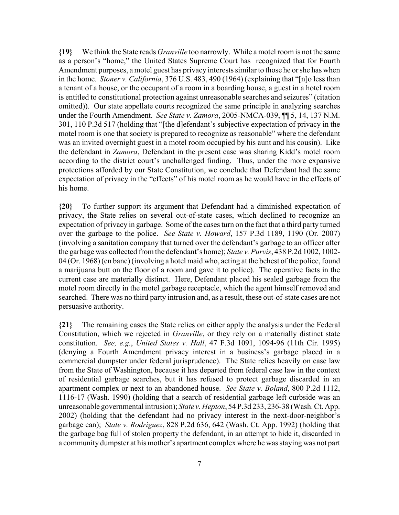**{19}** We think the State reads *Granville* too narrowly. While a motel room is not the same as a person's "home," the United States Supreme Court has recognized that for Fourth Amendment purposes, a motel guest has privacy interests similar to those he or she has when in the home. *Stoner v. California*, 376 U.S. 483, 490 (1964) (explaining that "[n]o less than a tenant of a house, or the occupant of a room in a boarding house, a guest in a hotel room is entitled to constitutional protection against unreasonable searches and seizures" (citation omitted)). Our state appellate courts recognized the same principle in analyzing searches under the Fourth Amendment. *See State v. Zamora*, 2005-NMCA-039, ¶¶ 5, 14, 137 N.M. 301, 110 P.3d 517 (holding that "[the d]efendant's subjective expectation of privacy in the motel room is one that society is prepared to recognize as reasonable" where the defendant was an invited overnight guest in a motel room occupied by his aunt and his cousin). Like the defendant in *Zamora*, Defendant in the present case was sharing Kidd's motel room according to the district court's unchallenged finding. Thus, under the more expansive protections afforded by our State Constitution, we conclude that Defendant had the same expectation of privacy in the "effects" of his motel room as he would have in the effects of his home.

**{20}** To further support its argument that Defendant had a diminished expectation of privacy, the State relies on several out-of-state cases, which declined to recognize an expectation of privacy in garbage. Some of the cases turn on the fact that a third party turned over the garbage to the police. *See State v. Howard*, 157 P.3d 1189, 1190 (Or. 2007) (involving a sanitation company that turned over the defendant's garbage to an officer after the garbage was collected from the defendant's home); *State v. Purvis*, 438 P.2d 1002, 1002- 04 (Or. 1968) (en banc) (involving a hotel maid who, acting at the behest of the police, found a marijuana butt on the floor of a room and gave it to police). The operative facts in the current case are materially distinct. Here, Defendant placed his sealed garbage from the motel room directly in the motel garbage receptacle, which the agent himself removed and searched. There was no third party intrusion and, as a result, these out-of-state cases are not persuasive authority.

**{21}** The remaining cases the State relies on either apply the analysis under the Federal Constitution, which we rejected in *Granville*, or they rely on a materially distinct state constitution. *See, e.g.*, *United States v. Hall*, 47 F.3d 1091, 1094-96 (11th Cir. 1995) (denying a Fourth Amendment privacy interest in a business's garbage placed in a commercial dumpster under federal jurisprudence). The State relies heavily on case law from the State of Washington, because it has departed from federal case law in the context of residential garbage searches, but it has refused to protect garbage discarded in an apartment complex or next to an abandoned house. *See State v. Boland*, 800 P.2d 1112, 1116-17 (Wash. 1990) (holding that a search of residential garbage left curbside was an unreasonable governmental intrusion); *State v. Hepton*, 54 P.3d 233, 236-38 (Wash. Ct. App. 2002) (holding that the defendant had no privacy interest in the next-door-neighbor's garbage can); *State v. Rodriguez*, 828 P.2d 636, 642 (Wash. Ct. App. 1992) (holding that the garbage bag full of stolen property the defendant, in an attempt to hide it, discarded in a community dumpster at his mother's apartment complex where he was staying was not part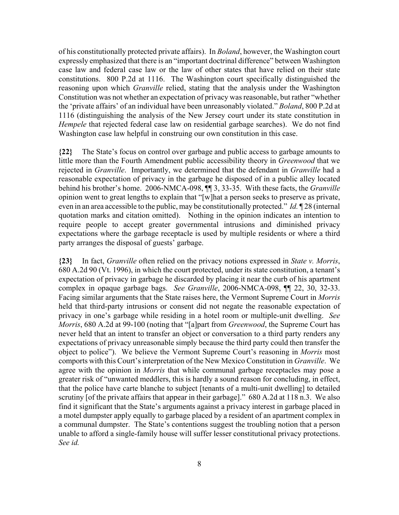of his constitutionally protected private affairs). In *Boland*, however, the Washington court expressly emphasized that there is an "important doctrinal difference" between Washington case law and federal case law or the law of other states that have relied on their state constitutions. 800 P.2d at 1116. The Washington court specifically distinguished the reasoning upon which *Granville* relied, stating that the analysis under the Washington Constitution was not whether an expectation of privacy was reasonable, but rather "whether the 'private affairs' of an individual have been unreasonably violated." *Boland*, 800 P.2d at 1116 (distinguishing the analysis of the New Jersey court under its state constitution in *Hempele* that rejected federal case law on residential garbage searches). We do not find Washington case law helpful in construing our own constitution in this case.

**{22}** The State's focus on control over garbage and public access to garbage amounts to little more than the Fourth Amendment public accessibility theory in *Greenwood* that we rejected in *Granville*. Importantly, we determined that the defendant in *Granville* had a reasonable expectation of privacy in the garbage he disposed of in a public alley located behind his brother's home. 2006-NMCA-098, ¶¶ 3, 33-35. With these facts, the *Granville* opinion went to great lengths to explain that "[w]hat a person seeks to preserve as private, even in an area accessible to the public, may be constitutionally protected." *Id.* ¶ 28 (internal quotation marks and citation omitted). Nothing in the opinion indicates an intention to require people to accept greater governmental intrusions and diminished privacy expectations where the garbage receptacle is used by multiple residents or where a third party arranges the disposal of guests' garbage.

**{23}** In fact, *Granville* often relied on the privacy notions expressed in *State v. Morris*, 680 A.2d 90 (Vt. 1996), in which the court protected, under its state constitution, a tenant's expectation of privacy in garbage he discarded by placing it near the curb of his apartment complex in opaque garbage bags. *See Granville*, 2006-NMCA-098, ¶¶ 22, 30, 32-33. Facing similar arguments that the State raises here, the Vermont Supreme Court in *Morris* held that third-party intrusions or consent did not negate the reasonable expectation of privacy in one's garbage while residing in a hotel room or multiple-unit dwelling. *See Morris*, 680 A.2d at 99-100 (noting that "[a]part from *Greenwood*, the Supreme Court has never held that an intent to transfer an object or conversation to a third party renders any expectations of privacy unreasonable simply because the third party could then transfer the object to police"). We believe the Vermont Supreme Court's reasoning in *Morris* most comports with this Court's interpretation of the New Mexico Constitution in *Granville*. We agree with the opinion in *Morris* that while communal garbage receptacles may pose a greater risk of "unwanted meddlers, this is hardly a sound reason for concluding, in effect, that the police have carte blanche to subject [tenants of a multi-unit dwelling] to detailed scrutiny [of the private affairs that appear in their garbage]." 680 A.2d at 118 n.3. We also find it significant that the State's arguments against a privacy interest in garbage placed in a motel dumpster apply equally to garbage placed by a resident of an apartment complex in a communal dumpster. The State's contentions suggest the troubling notion that a person unable to afford a single-family house will suffer lesser constitutional privacy protections. *See id.*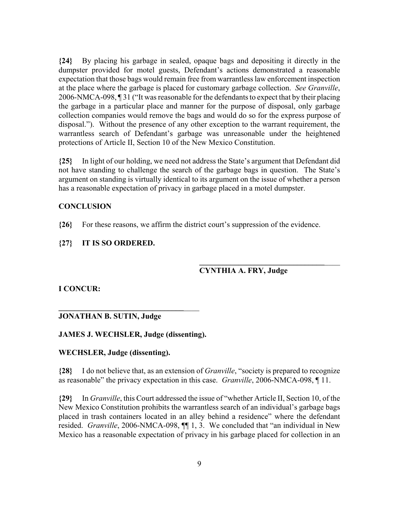**{24}** By placing his garbage in sealed, opaque bags and depositing it directly in the dumpster provided for motel guests, Defendant's actions demonstrated a reasonable expectation that those bags would remain free from warrantless law enforcement inspection at the place where the garbage is placed for customary garbage collection. *See Granville*, 2006-NMCA-098, ¶ 31 ("It was reasonable for the defendants to expect that by their placing the garbage in a particular place and manner for the purpose of disposal, only garbage collection companies would remove the bags and would do so for the express purpose of disposal."). Without the presence of any other exception to the warrant requirement, the warrantless search of Defendant's garbage was unreasonable under the heightened protections of Article II, Section 10 of the New Mexico Constitution.

**{25}** In light of our holding, we need not address the State's argument that Defendant did not have standing to challenge the search of the garbage bags in question. The State's argument on standing is virtually identical to its argument on the issue of whether a person has a reasonable expectation of privacy in garbage placed in a motel dumpster.

## **CONCLUSION**

**{26}** For these reasons, we affirm the district court's suppression of the evidence.

## **{27} IT IS SO ORDERED.**

# **CYNTHIA A. FRY, Judge**

**\_\_\_\_\_\_\_\_\_\_\_\_\_\_\_\_\_\_\_\_\_\_\_\_\_\_\_\_\_\_\_\_**\_\_\_\_

**I CONCUR:**

# **JONATHAN B. SUTIN, Judge**

## **JAMES J. WECHSLER, Judge (dissenting).**

**\_\_\_\_\_\_\_\_\_\_\_\_\_\_\_\_\_\_\_\_\_\_\_\_\_\_\_\_\_\_\_\_**\_\_\_\_

#### **WECHSLER, Judge (dissenting).**

**{28}** I do not believe that, as an extension of *Granville*, "society is prepared to recognize as reasonable" the privacy expectation in this case. *Granville*, 2006-NMCA-098, ¶ 11.

**{29}** In *Granville*, this Court addressed the issue of "whether Article II, Section 10, of the New Mexico Constitution prohibits the warrantless search of an individual's garbage bags placed in trash containers located in an alley behind a residence" where the defendant resided. *Granville*, 2006-NMCA-098, ¶¶ 1, 3. We concluded that "an individual in New Mexico has a reasonable expectation of privacy in his garbage placed for collection in an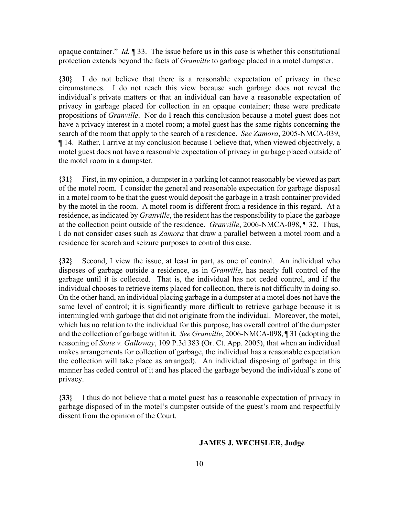opaque container." *Id.* ¶ 33. The issue before us in this case is whether this constitutional protection extends beyond the facts of *Granville* to garbage placed in a motel dumpster.

**{30}** I do not believe that there is a reasonable expectation of privacy in these circumstances. I do not reach this view because such garbage does not reveal the individual's private matters or that an individual can have a reasonable expectation of privacy in garbage placed for collection in an opaque container; these were predicate propositions of *Granville*. Nor do I reach this conclusion because a motel guest does not have a privacy interest in a motel room; a motel guest has the same rights concerning the search of the room that apply to the search of a residence. *See Zamora*, 2005-NMCA-039, ¶ 14. Rather, I arrive at my conclusion because I believe that, when viewed objectively, a motel guest does not have a reasonable expectation of privacy in garbage placed outside of the motel room in a dumpster.

**{31}** First, in my opinion, a dumpster in a parking lot cannot reasonably be viewed as part of the motel room. I consider the general and reasonable expectation for garbage disposal in a motel room to be that the guest would deposit the garbage in a trash container provided by the motel in the room. A motel room is different from a residence in this regard. At a residence, as indicated by *Granville*, the resident has the responsibility to place the garbage at the collection point outside of the residence. *Granville*, 2006-NMCA-098, ¶ 32. Thus, I do not consider cases such as *Zamora* that draw a parallel between a motel room and a residence for search and seizure purposes to control this case.

**{32}** Second, I view the issue, at least in part, as one of control. An individual who disposes of garbage outside a residence, as in *Granville*, has nearly full control of the garbage until it is collected. That is, the individual has not ceded control, and if the individual chooses to retrieve items placed for collection, there is not difficulty in doing so. On the other hand, an individual placing garbage in a dumpster at a motel does not have the same level of control; it is significantly more difficult to retrieve garbage because it is intermingled with garbage that did not originate from the individual. Moreover, the motel, which has no relation to the individual for this purpose, has overall control of the dumpster and the collection of garbage within it. *See Granville*, 2006-NMCA-098, ¶ 31 (adopting the reasoning of *State v. Galloway*, 109 P.3d 383 (Or. Ct. App. 2005), that when an individual makes arrangements for collection of garbage, the individual has a reasonable expectation the collection will take place as arranged). An individual disposing of garbage in this manner has ceded control of it and has placed the garbage beyond the individual's zone of privacy.

**{33}** I thus do not believe that a motel guest has a reasonable expectation of privacy in garbage disposed of in the motel's dumpster outside of the guest's room and respectfully dissent from the opinion of the Court.

## **JAMES J. WECHSLER, Judge**

 $\mathcal{L}_\text{max}$  , and the set of the set of the set of the set of the set of the set of the set of the set of the set of the set of the set of the set of the set of the set of the set of the set of the set of the set of the